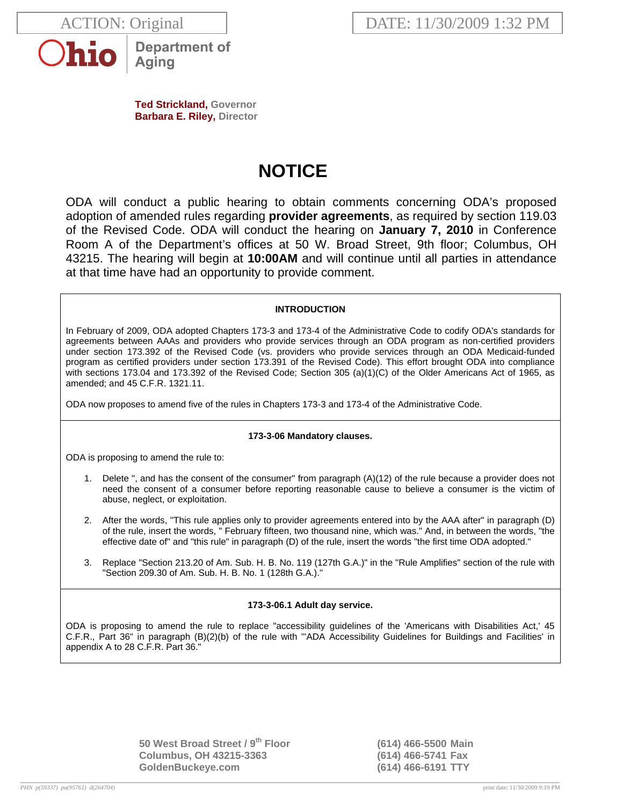



**Department of** Aging

**Ted Strickland, Governor Barbara E. Riley, Director** 

# **NOTICE**

ODA will conduct a public hearing to obtain comments concerning ODA's proposed adoption of amended rules regarding **provider agreements**, as required by section 119.03 of the Revised Code. ODA will conduct the hearing on **January 7, 2010** in Conference Room A of the Department's offices at 50 W. Broad Street, 9th floor; Columbus, OH 43215. The hearing will begin at **10:00AM** and will continue until all parties in attendance at that time have had an opportunity to provide comment.

# **INTRODUCTION**

In February of 2009, ODA adopted Chapters 173-3 and 173-4 of the Administrative Code to codify ODA's standards for agreements between AAAs and providers who provide services through an ODA program as non-certified providers under section 173.392 of the Revised Code (vs. providers who provide services through an ODA Medicaid-funded program as certified providers under section 173.391 of the Revised Code). This effort brought ODA into compliance with sections 173.04 and 173.392 of the Revised Code; Section 305 (a)(1)(C) of the Older Americans Act of 1965, as amended; and 45 C.F.R. 1321.11.

ODA now proposes to amend five of the rules in Chapters 173-3 and 173-4 of the Administrative Code.

## **173-3-06 Mandatory clauses.**

ODA is proposing to amend the rule to:

- 1. Delete ", and has the consent of the consumer" from paragraph (A)(12) of the rule because a provider does not need the consent of a consumer before reporting reasonable cause to believe a consumer is the victim of abuse, neglect, or exploitation.
- 2. After the words, "This rule applies only to provider agreements entered into by the AAA after" in paragraph (D) of the rule, insert the words, " February fifteen, two thousand nine, which was." And, in between the words, "the effective date of" and "this rule" in paragraph (D) of the rule, insert the words "the first time ODA adopted."
- 3. Replace "Section 213.20 of Am. Sub. H. B. No. 119 (127th G.A.)" in the "Rule Amplifies" section of the rule with "Section 209.30 of Am. Sub. H. B. No. 1 (128th G.A.)."

## **173-3-06.1 Adult day service.**

ODA is proposing to amend the rule to replace "accessibility guidelines of the 'Americans with Disabilities Act,' 45 C.F.R., Part 36" in paragraph (B)(2)(b) of the rule with "'ADA Accessibility Guidelines for Buildings and Facilities' in appendix A to 28 C.F.R. Part 36."

> **50 West Broad Street / 9th Floor (614) 466-5500 Main Columbus, OH 43215-3363 (614) 466-5741 Fax GoldenBuckeye.com (614) 466-6191 TTY**